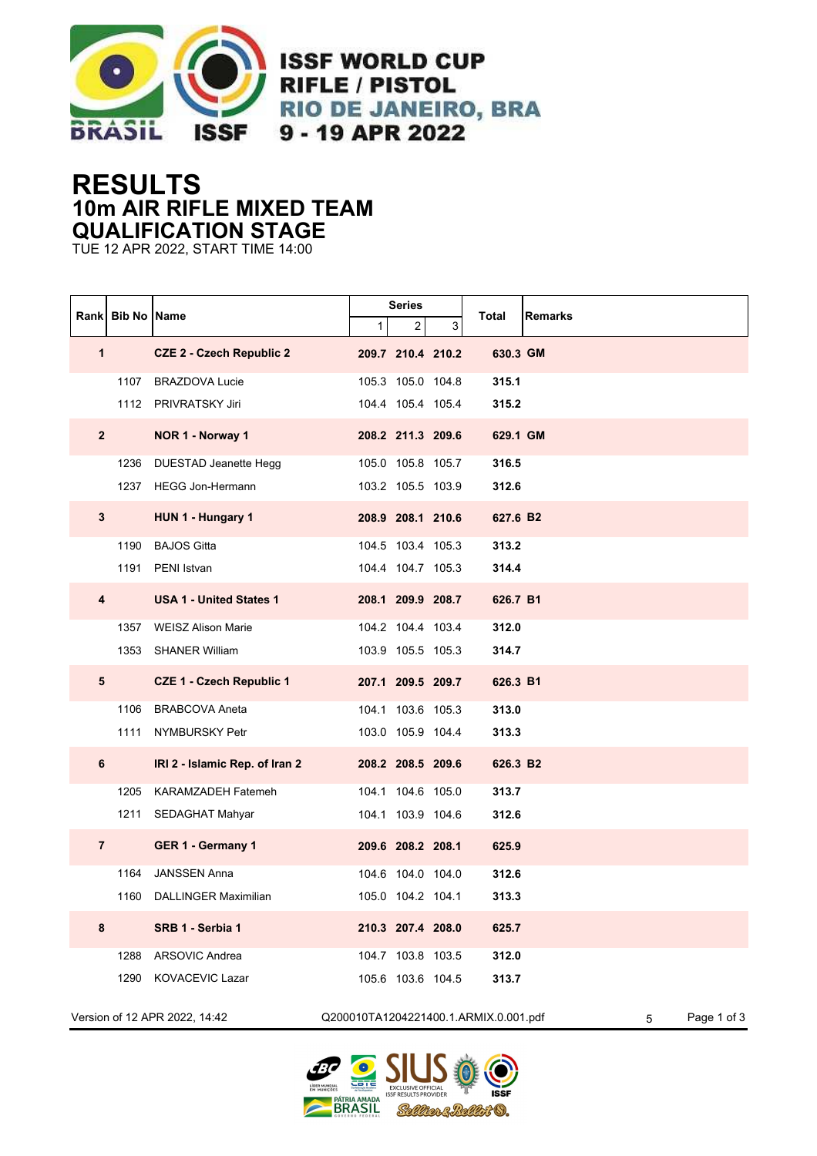

**ISSF WORLD CUP RIFLE / PISTOL RIO DE JANEIRO, BRA** 9 - 19 APR 2022

## **RESULTS 10m AIR RIFLE MIXED TEAM QUALIFICATION STAGE**

TUE 12 APR 2022, START TIME 14:00

|                | Rank Bib No Name |                                 |   | Series            |   | <b>Remarks</b>                                            |
|----------------|------------------|---------------------------------|---|-------------------|---|-----------------------------------------------------------|
|                |                  |                                 | 1 | 2                 | 3 | Total                                                     |
| 1              |                  | <b>CZE 2 - Czech Republic 2</b> |   | 209.7 210.4 210.2 |   | 630.3 GM                                                  |
|                |                  | 1107 BRAZDOVA Lucie             |   | 105.3 105.0 104.8 |   | 315.1                                                     |
|                |                  | 1112 PRIVRATSKY Jiri            |   | 104.4 105.4 105.4 |   | 315.2                                                     |
| $\overline{2}$ |                  | NOR 1 - Norway 1                |   | 208.2 211.3 209.6 |   | 629.1 GM                                                  |
|                |                  | 1236 DUESTAD Jeanette Hegg      |   | 105.0 105.8 105.7 |   | 316.5                                                     |
|                |                  | 1237 HEGG Jon-Hermann           |   | 103.2 105.5 103.9 |   | 312.6                                                     |
| $\mathbf{3}$   |                  | HUN 1 - Hungary 1               |   | 208.9 208.1 210.6 |   | 627.6 B2                                                  |
|                | 1190             | <b>BAJOS Gitta</b>              |   | 104.5 103.4 105.3 |   | 313.2                                                     |
|                | 1191             | PENI Istvan                     |   | 104.4 104.7 105.3 |   | 314.4                                                     |
| 4              |                  | <b>USA 1 - United States 1</b>  |   | 208.1 209.9 208.7 |   | 626.7 B1                                                  |
|                |                  | 1357 WEISZ Alison Marie         |   | 104.2 104.4 103.4 |   | 312.0                                                     |
|                |                  | 1353 SHANER William             |   | 103.9 105.5 105.3 |   | 314.7                                                     |
| 5              |                  | <b>CZE 1 - Czech Republic 1</b> |   | 207.1 209.5 209.7 |   | 626.3 B1                                                  |
|                | 1106             | <b>BRABCOVA Aneta</b>           |   | 104.1 103.6 105.3 |   | 313.0                                                     |
|                | 1111             | NYMBURSKY Petr                  |   | 103.0 105.9 104.4 |   | 313.3                                                     |
| 6              |                  | IRI 2 - Islamic Rep. of Iran 2  |   | 208.2 208.5 209.6 |   | 626.3 B2                                                  |
|                | 1205             | KARAMZADEH Fatemeh              |   | 104.1 104.6 105.0 |   | 313.7                                                     |
|                |                  | 1211 SEDAGHAT Mahyar            |   | 104.1 103.9 104.6 |   | 312.6                                                     |
| $\overline{7}$ |                  | GER 1 - Germany 1               |   | 209.6 208.2 208.1 |   | 625.9                                                     |
|                | 1164             | <b>JANSSEN Anna</b>             |   | 104.6 104.0 104.0 |   | 312.6                                                     |
|                | 1160             | <b>DALLINGER Maximilian</b>     |   | 105.0 104.2 104.1 |   | 313.3                                                     |
| 8              |                  | SRB 1 - Serbia 1                |   | 210.3 207.4 208.0 |   | 625.7                                                     |
|                | 1288             | ARSOVIC Andrea                  |   | 104.7 103.8 103.5 |   | 312.0                                                     |
|                | 1290             | KOVACEVIC Lazar                 |   | 105.6 103.6 104.5 |   | 313.7                                                     |
|                |                  | Version of 12 APR 2022, 14:42   |   |                   |   | Q200010TA1204221400.1.ARMIX.0.001.pdf<br>Page 1 of 3<br>5 |

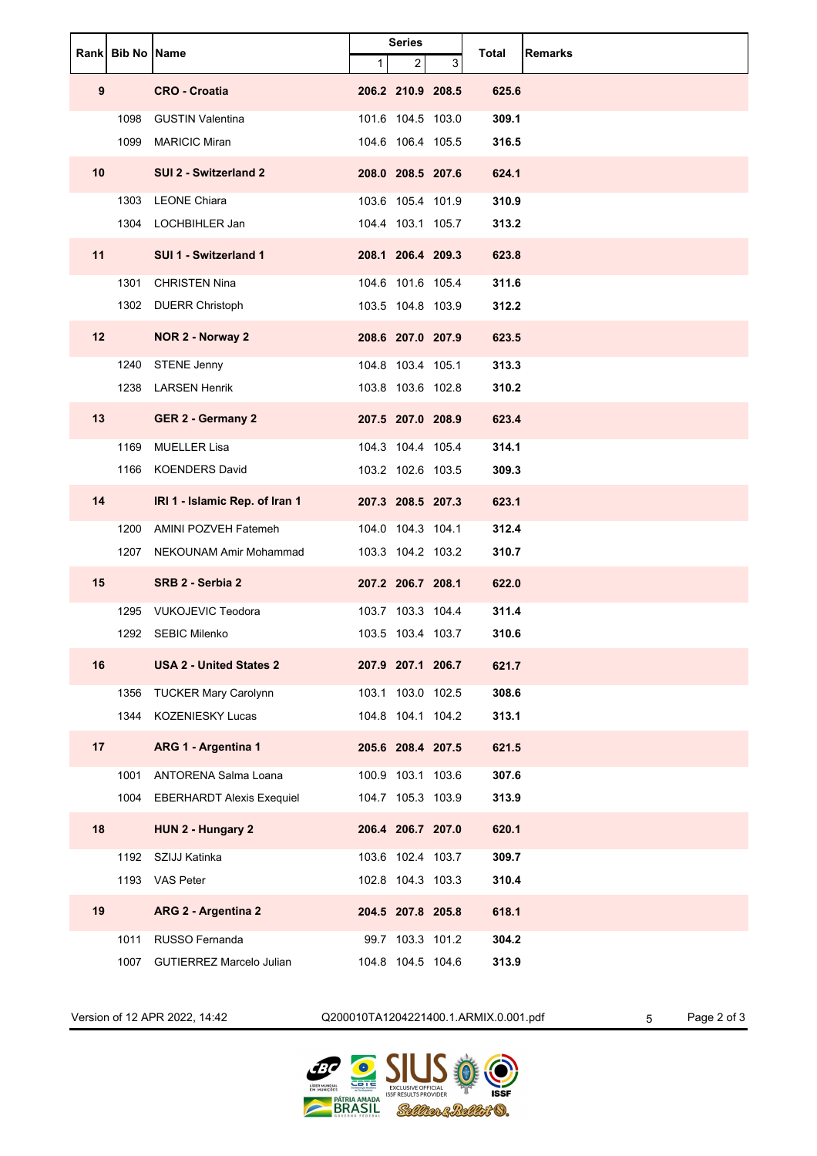|    | <b>Rank Bib No Name</b> |                                  | <b>Series</b> |                   | Total | <b>Remarks</b> |  |
|----|-------------------------|----------------------------------|---------------|-------------------|-------|----------------|--|
|    |                         |                                  | 1             | $\overline{2}$    | 3     |                |  |
| 9  |                         | <b>CRO - Croatia</b>             |               | 206.2 210.9 208.5 |       | 625.6          |  |
|    | 1098                    | <b>GUSTIN Valentina</b>          |               | 101.6 104.5 103.0 |       | 309.1          |  |
|    | 1099                    | <b>MARICIC Miran</b>             |               | 104.6 106.4 105.5 |       | 316.5          |  |
| 10 |                         | SUI 2 - Switzerland 2            |               | 208.0 208.5 207.6 |       | 624.1          |  |
|    | 1303                    | <b>LEONE Chiara</b>              |               | 103.6 105.4 101.9 |       | 310.9          |  |
|    |                         | 1304 LOCHBIHLER Jan              |               | 104.4 103.1 105.7 |       | 313.2          |  |
| 11 |                         | SUI 1 - Switzerland 1            |               | 208.1 206.4 209.3 |       | 623.8          |  |
|    | 1301                    | <b>CHRISTEN Nina</b>             |               | 104.6 101.6 105.4 |       | 311.6          |  |
|    |                         | 1302 DUERR Christoph             |               | 103.5 104.8 103.9 |       | 312.2          |  |
| 12 |                         | NOR 2 - Norway 2                 |               | 208.6 207.0 207.9 |       | 623.5          |  |
|    | 1240                    | <b>STENE Jenny</b>               |               | 104.8 103.4 105.1 |       | 313.3          |  |
|    |                         | 1238 LARSEN Henrik               |               | 103.8 103.6 102.8 |       | 310.2          |  |
| 13 |                         | <b>GER 2 - Germany 2</b>         |               | 207.5 207.0 208.9 |       | 623.4          |  |
|    | 1169                    | <b>MUELLER Lisa</b>              |               | 104.3 104.4 105.4 |       | 314.1          |  |
|    | 1166                    | <b>KOENDERS David</b>            |               | 103.2 102.6 103.5 |       | 309.3          |  |
| 14 |                         | IRI 1 - Islamic Rep. of Iran 1   |               | 207.3 208.5 207.3 |       | 623.1          |  |
|    | 1200                    | AMINI POZVEH Fatemeh             |               | 104.0 104.3 104.1 |       | 312.4          |  |
|    |                         | 1207 NEKOUNAM Amir Mohammad      |               | 103.3 104.2 103.2 |       | 310.7          |  |
| 15 |                         | SRB 2 - Serbia 2                 |               | 207.2 206.7 208.1 |       | 622.0          |  |
|    | 1295                    | <b>VUKOJEVIC Teodora</b>         |               | 103.7 103.3 104.4 |       | 311.4          |  |
|    |                         | 1292 SEBIC Milenko               |               | 103.5 103.4 103.7 |       | 310.6          |  |
| 16 |                         | <b>USA 2 - United States 2</b>   |               | 207.9 207.1 206.7 |       | 621.7          |  |
|    | 1356                    | <b>TUCKER Mary Carolynn</b>      |               | 103.1 103.0 102.5 |       | 308.6          |  |
|    | 1344                    | KOZENIESKY Lucas                 |               | 104.8 104.1 104.2 |       | 313.1          |  |
| 17 |                         | ARG 1 - Argentina 1              |               | 205.6 208.4 207.5 |       | 621.5          |  |
|    | 1001                    | <b>ANTORENA Salma Loana</b>      |               | 100.9 103.1 103.6 |       | 307.6          |  |
|    | 1004                    | <b>EBERHARDT Alexis Exequiel</b> |               | 104.7 105.3 103.9 |       | 313.9          |  |
| 18 |                         | HUN 2 - Hungary 2                |               | 206.4 206.7 207.0 |       | 620.1          |  |
|    | 1192                    | SZIJJ Katinka                    |               | 103.6 102.4 103.7 |       | 309.7          |  |
|    |                         | 1193 VAS Peter                   |               | 102.8 104.3 103.3 |       | 310.4          |  |
| 19 |                         | ARG 2 - Argentina 2              |               | 204.5 207.8 205.8 |       | 618.1          |  |
|    | 1011                    | RUSSO Fernanda                   |               | 99.7 103.3 101.2  |       | 304.2          |  |
|    | 1007                    | <b>GUTIERREZ Marcelo Julian</b>  |               | 104.8 104.5 104.6 |       | 313.9          |  |

Version of 12 APR 2022, 14:42 Q200010TA1204221400.1.ARMIX.0.001.pdf 5 Page 2 of 3